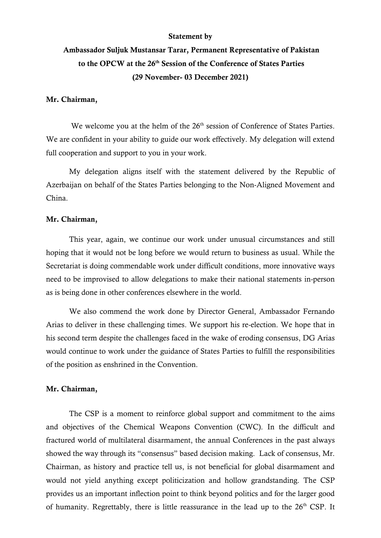#### Statement by

# Ambassador Suljuk Mustansar Tarar, Permanent Representative of Pakistan to the OPCW at the 26<sup>th</sup> Session of the Conference of States Parties (29 November- 03 December 2021)

#### Mr. Chairman,

We welcome you at the helm of the 26<sup>th</sup> session of Conference of States Parties. We are confident in your ability to guide our work effectively. My delegation will extend full cooperation and support to you in your work.

My delegation aligns itself with the statement delivered by the Republic of Azerbaijan on behalf of the States Parties belonging to the Non-Aligned Movement and China.

#### Mr. Chairman,

This year, again, we continue our work under unusual circumstances and still hoping that it would not be long before we would return to business as usual. While the Secretariat is doing commendable work under difficult conditions, more innovative ways need to be improvised to allow delegations to make their national statements in-person as is being done in other conferences elsewhere in the world.

We also commend the work done by Director General, Ambassador Fernando Arias to deliver in these challenging times. We support his re-election. We hope that in his second term despite the challenges faced in the wake of eroding consensus, DG Arias would continue to work under the guidance of States Parties to fulfill the responsibilities of the position as enshrined in the Convention.

#### Mr. Chairman,

The CSP is a moment to reinforce global support and commitment to the aims and objectives of the Chemical Weapons Convention (CWC). In the difficult and fractured world of multilateral disarmament, the annual Conferences in the past always showed the way through its "consensus" based decision making. Lack of consensus, Mr. Chairman, as history and practice tell us, is not beneficial for global disarmament and would not yield anything except politicization and hollow grandstanding. The CSP provides us an important inflection point to think beyond politics and for the larger good of humanity. Regrettably, there is little reassurance in the lead up to the  $26<sup>th</sup>$  CSP. It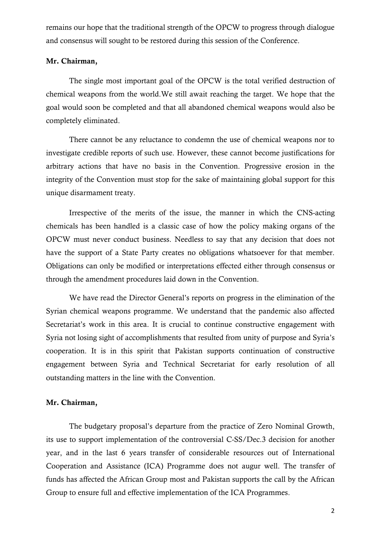remains our hope that the traditional strength of the OPCW to progress through dialogue and consensus will sought to be restored during this session of the Conference.

## Mr. Chairman,

The single most important goal of the OPCW is the total verified destruction of chemical weapons from the world.We still await reaching the target. We hope that the goal would soon be completed and that all abandoned chemical weapons would also be completely eliminated.

There cannot be any reluctance to condemn the use of chemical weapons nor to investigate credible reports of such use. However, these cannot become justifications for arbitrary actions that have no basis in the Convention. Progressive erosion in the integrity of the Convention must stop for the sake of maintaining global support for this unique disarmament treaty.

Irrespective of the merits of the issue, the manner in which the CNS-acting chemicals has been handled is a classic case of how the policy making organs of the OPCW must never conduct business. Needless to say that any decision that does not have the support of a State Party creates no obligations whatsoever for that member. Obligations can only be modified or interpretations effected either through consensus or through the amendment procedures laid down in the Convention.

We have read the Director General's reports on progress in the elimination of the Syrian chemical weapons programme. We understand that the pandemic also affected Secretariat's work in this area. It is crucial to continue constructive engagement with Syria not losing sight of accomplishments that resulted from unity of purpose and Syria's cooperation. It is in this spirit that Pakistan supports continuation of constructive engagement between Syria and Technical Secretariat for early resolution of all outstanding matters in the line with the Convention.

## Mr. Chairman,

The budgetary proposal's departure from the practice of Zero Nominal Growth, its use to support implementation of the controversial C-SS/Dec.3 decision for another year, and in the last 6 years transfer of considerable resources out of International Cooperation and Assistance (ICA) Programme does not augur well. The transfer of funds has affected the African Group most and Pakistan supports the call by the African Group to ensure full and effective implementation of the ICA Programmes.